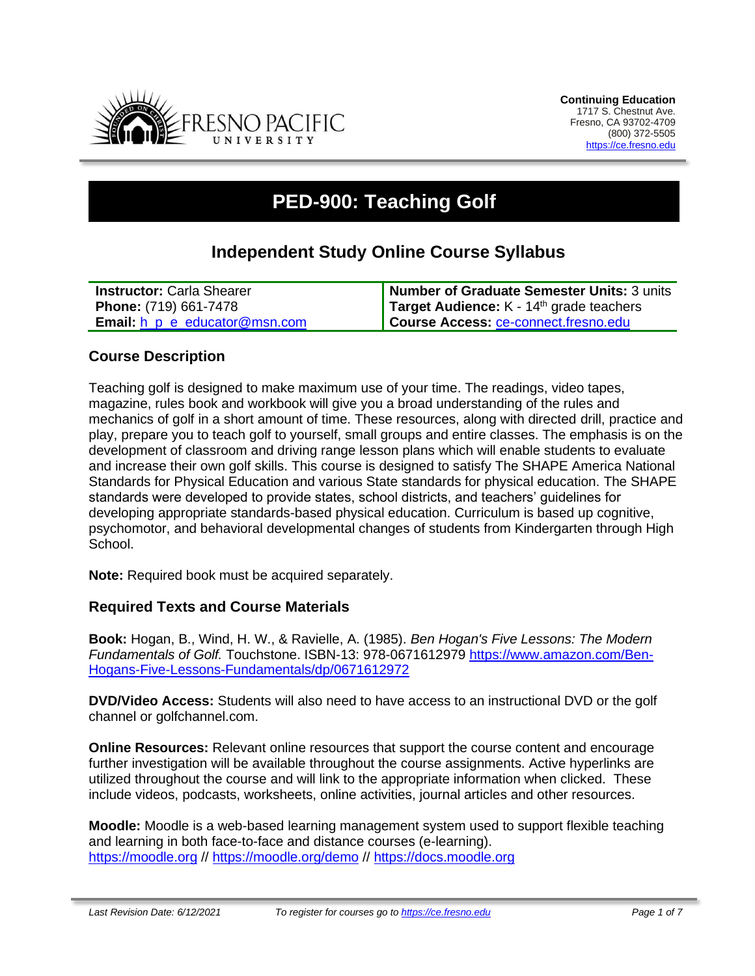

# **PED-900: Teaching Golf**

# **Independent Study Online Course Syllabus**

| <b>Instructor: Carla Shearer</b>           | Number of Graduate Semester Units: 3 units |
|--------------------------------------------|--------------------------------------------|
| <b>Phone: (719) 661-7478</b>               | Target Audience: $K - 14th$ grade teachers |
| <b>Email:</b> $h$ $p$ $e$ educator@msn.com | Course Access: ce-connect.fresno.edu       |

### **Course Description**

Teaching golf is designed to make maximum use of your time. The readings, video tapes, magazine, rules book and workbook will give you a broad understanding of the rules and mechanics of golf in a short amount of time. These resources, along with directed drill, practice and play, prepare you to teach golf to yourself, small groups and entire classes. The emphasis is on the development of classroom and driving range lesson plans which will enable students to evaluate and increase their own golf skills. This course is designed to satisfy The SHAPE America National Standards for Physical Education and various State standards for physical education. The SHAPE standards were developed to provide states, school districts, and teachers' guidelines for developing appropriate standards-based physical education. Curriculum is based up cognitive, psychomotor, and behavioral developmental changes of students from Kindergarten through High School.

**Note:** Required book must be acquired separately.

#### **Required Texts and Course Materials**

**Book:** Hogan, B., Wind, H. W., & Ravielle, A. (1985). *Ben Hogan's Five Lessons: The Modern Fundamentals of Golf.* Touchstone. ISBN-13: 978-0671612979 [https://www.amazon.com/Ben-](https://www.amazon.com/Ben-Hogans-Five-Lessons-Fundamentals/dp/0671612972)[Hogans-Five-Lessons-Fundamentals/dp/0671612972](https://www.amazon.com/Ben-Hogans-Five-Lessons-Fundamentals/dp/0671612972)

**DVD/Video Access:** Students will also need to have access to an instructional DVD or the golf channel or golfchannel.com.

**Online Resources:** Relevant online resources that support the course content and encourage further investigation will be available throughout the course assignments. Active hyperlinks are utilized throughout the course and will link to the appropriate information when clicked. These include videos, podcasts, worksheets, online activities, journal articles and other resources.

**Moodle:** Moodle is a web-based learning management system used to support flexible teaching and learning in both face-to-face and distance courses (e-learning). [https://moodle.org](https://moodle.org/) //<https://moodle.org/demo> // [https://docs.moodle.org](https://docs.moodle.org/)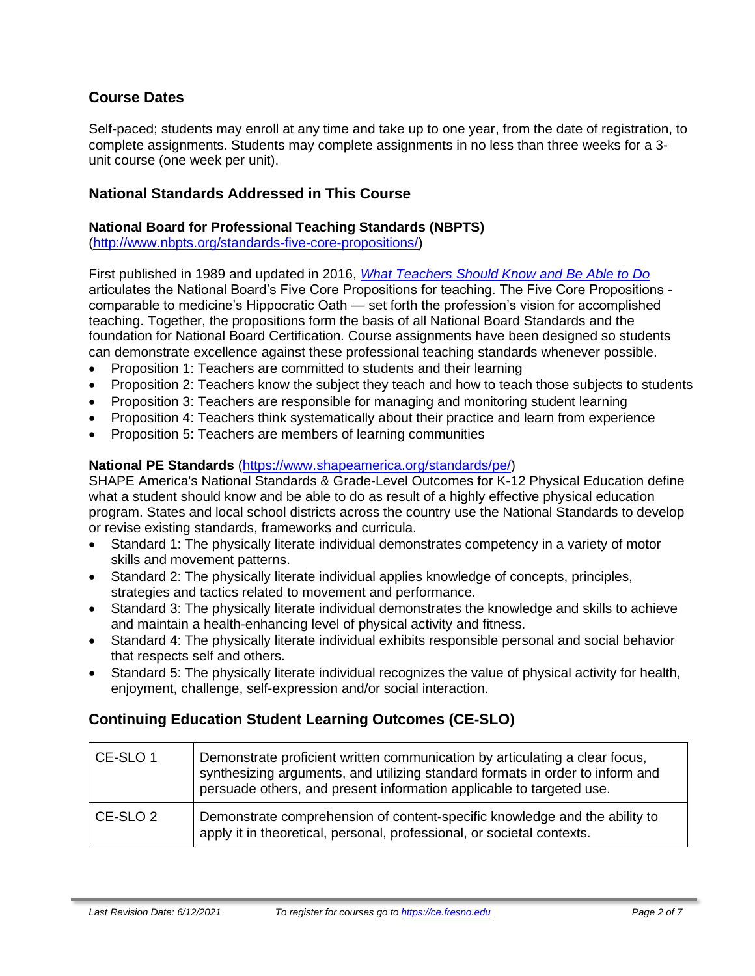# **Course Dates**

Self-paced; students may enroll at any time and take up to one year, from the date of registration, to complete assignments. Students may complete assignments in no less than three weeks for a 3 unit course (one week per unit).

### **National Standards Addressed in This Course**

#### **National Board for Professional Teaching Standards (NBPTS)**

[\(http://www.nbpts.org/standards-five-core-propositions/\)](http://www.nbpts.org/standards-five-core-propositions/)

First published in 1989 and updated in 2016, *[What Teachers Should Know and Be Able to Do](http://www.accomplishedteacher.org/)* articulates the National Board's Five Core Propositions for teaching. The Five Core Propositions comparable to medicine's Hippocratic Oath — set forth the profession's vision for accomplished teaching. Together, the propositions form the basis of all National Board Standards and the foundation for National Board Certification. Course assignments have been designed so students can demonstrate excellence against these professional teaching standards whenever possible.

- Proposition 1: Teachers are committed to students and their learning
- Proposition 2: Teachers know the subject they teach and how to teach those subjects to students
- Proposition 3: Teachers are responsible for managing and monitoring student learning
- Proposition 4: Teachers think systematically about their practice and learn from experience
- Proposition 5: Teachers are members of learning communities

#### **National PE Standards** [\(https://www.shapeamerica.org/standards/pe/\)](https://www.shapeamerica.org/standards/pe/)

SHAPE America's National Standards & Grade-Level Outcomes for K-12 Physical Education define what a student should know and be able to do as result of a highly effective physical education program. States and local school districts across the country use the National Standards to develop or revise existing standards, frameworks and curricula.

- Standard 1: The physically literate individual demonstrates competency in a variety of motor skills and movement patterns.
- Standard 2: The physically literate individual applies knowledge of concepts, principles, strategies and tactics related to movement and performance.
- Standard 3: The physically literate individual demonstrates the knowledge and skills to achieve and maintain a health-enhancing level of physical activity and fitness.
- Standard 4: The physically literate individual exhibits responsible personal and social behavior that respects self and others.
- Standard 5: The physically literate individual recognizes the value of physical activity for health, enjoyment, challenge, self-expression and/or social interaction.

# **Continuing Education Student Learning Outcomes (CE-SLO)**

| CE-SLO 1   | Demonstrate proficient written communication by articulating a clear focus,<br>synthesizing arguments, and utilizing standard formats in order to inform and<br>persuade others, and present information applicable to targeted use. |
|------------|--------------------------------------------------------------------------------------------------------------------------------------------------------------------------------------------------------------------------------------|
| l CE-SLO 2 | Demonstrate comprehension of content-specific knowledge and the ability to<br>apply it in theoretical, personal, professional, or societal contexts.                                                                                 |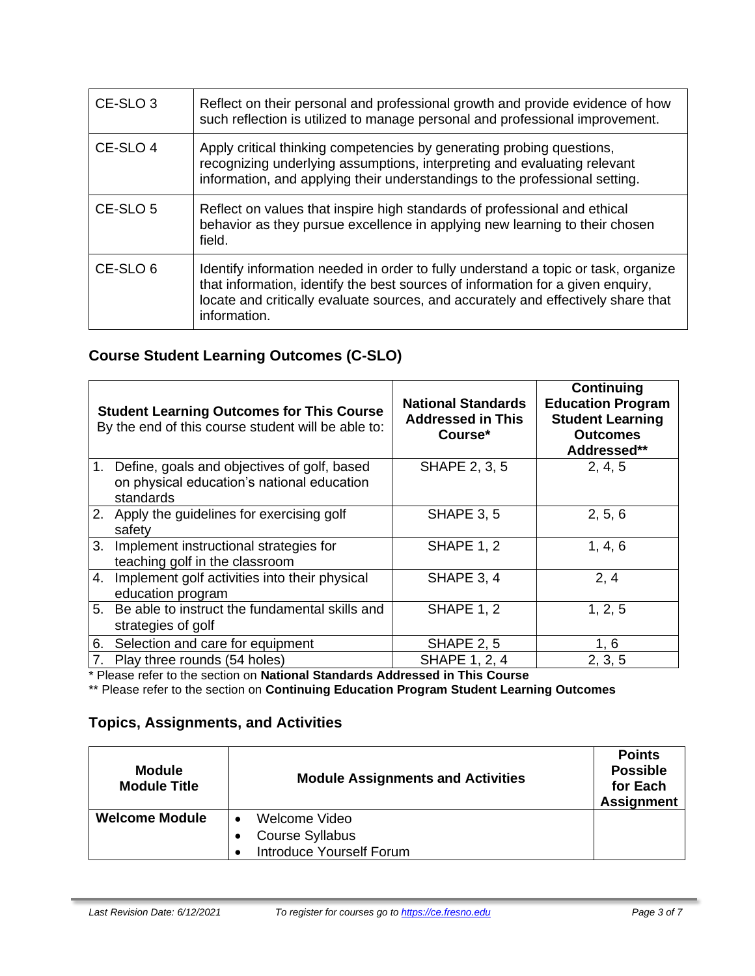| CE-SLO <sub>3</sub> | Reflect on their personal and professional growth and provide evidence of how<br>such reflection is utilized to manage personal and professional improvement.                                                                                                              |
|---------------------|----------------------------------------------------------------------------------------------------------------------------------------------------------------------------------------------------------------------------------------------------------------------------|
| CE-SLO 4            | Apply critical thinking competencies by generating probing questions,<br>recognizing underlying assumptions, interpreting and evaluating relevant<br>information, and applying their understandings to the professional setting.                                           |
| CE-SLO <sub>5</sub> | Reflect on values that inspire high standards of professional and ethical<br>behavior as they pursue excellence in applying new learning to their chosen<br>field.                                                                                                         |
| CE-SLO <sub>6</sub> | Identify information needed in order to fully understand a topic or task, organize<br>that information, identify the best sources of information for a given enquiry,<br>locate and critically evaluate sources, and accurately and effectively share that<br>information. |

# **Course Student Learning Outcomes (C-SLO)**

|    | <b>Student Learning Outcomes for This Course</b><br>By the end of this course student will be able to:    | <b>National Standards</b><br><b>Addressed in This</b><br>Course* | Continuing<br><b>Education Program</b><br><b>Student Learning</b><br><b>Outcomes</b><br>Addressed** |
|----|-----------------------------------------------------------------------------------------------------------|------------------------------------------------------------------|-----------------------------------------------------------------------------------------------------|
|    | 1. Define, goals and objectives of golf, based<br>on physical education's national education<br>standards | SHAPE 2, 3, 5                                                    | 2, 4, 5                                                                                             |
|    | 2. Apply the guidelines for exercising golf<br>safety                                                     | <b>SHAPE 3, 5</b>                                                | 2, 5, 6                                                                                             |
| 3. | Implement instructional strategies for<br>teaching golf in the classroom                                  | <b>SHAPE 1, 2</b>                                                | 1, 4, 6                                                                                             |
| 4. | Implement golf activities into their physical<br>education program                                        | SHAPE 3, 4                                                       | 2, 4                                                                                                |
|    | 5. Be able to instruct the fundamental skills and<br>strategies of golf                                   | <b>SHAPE 1, 2</b>                                                | 1, 2, 5                                                                                             |
| 6. | Selection and care for equipment                                                                          | <b>SHAPE 2, 5</b>                                                | 1, 6                                                                                                |
|    | 7. Play three rounds (54 holes)                                                                           | <b>SHAPE 1, 2, 4</b>                                             | 2, 3, 5                                                                                             |

\* Please refer to the section on **National Standards Addressed in This Course**

\*\* Please refer to the section on **Continuing Education Program Student Learning Outcomes**

# **Topics, Assignments, and Activities**

| <b>Module</b><br><b>Module Title</b> | <b>Module Assignments and Activities</b>                            | <b>Points</b><br><b>Possible</b><br>for Each<br><b>Assignment</b> |
|--------------------------------------|---------------------------------------------------------------------|-------------------------------------------------------------------|
| <b>Welcome Module</b>                | Welcome Video<br><b>Course Syllabus</b><br>Introduce Yourself Forum |                                                                   |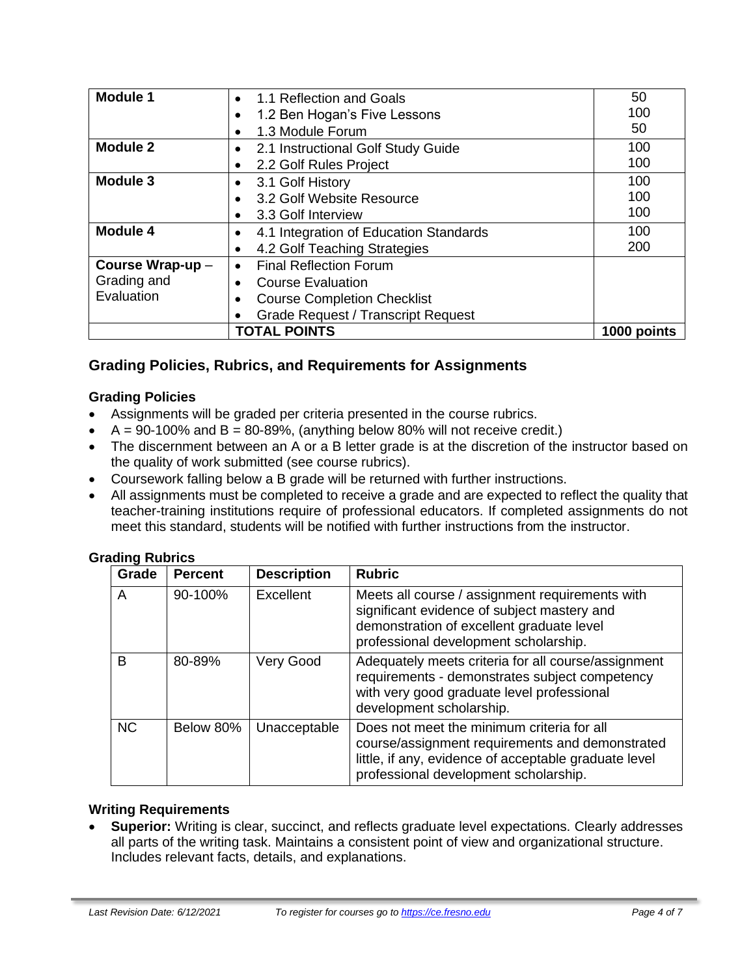| <b>Module 1</b>  | 1.1 Reflection and Goals<br>$\bullet$      | 50          |
|------------------|--------------------------------------------|-------------|
|                  | 1.2 Ben Hogan's Five Lessons               | 100         |
|                  | 1.3 Module Forum                           | 50          |
| <b>Module 2</b>  | 2.1 Instructional Golf Study Guide         | 100         |
|                  | 2.2 Golf Rules Project                     | 100         |
| <b>Module 3</b>  | 3.1 Golf History                           | 100         |
|                  | 3.2 Golf Website Resource                  | 100         |
|                  | 3.3 Golf Interview                         | 100         |
| <b>Module 4</b>  | 4.1 Integration of Education Standards     | 100         |
|                  | 4.2 Golf Teaching Strategies<br>٠          | 200         |
| Course Wrap-up - | <b>Final Reflection Forum</b><br>$\bullet$ |             |
| Grading and      | <b>Course Evaluation</b>                   |             |
| Evaluation       | <b>Course Completion Checklist</b>         |             |
|                  | <b>Grade Request / Transcript Request</b>  |             |
|                  | <b>TOTAL POINTS</b>                        | 1000 points |

# **Grading Policies, Rubrics, and Requirements for Assignments**

### **Grading Policies**

- Assignments will be graded per criteria presented in the course rubrics.
- $A = 90-100\%$  and  $B = 80-89\%$ , (anything below 80% will not receive credit.)
- The discernment between an A or a B letter grade is at the discretion of the instructor based on the quality of work submitted (see course rubrics).
- Coursework falling below a B grade will be returned with further instructions.
- All assignments must be completed to receive a grade and are expected to reflect the quality that teacher-training institutions require of professional educators. If completed assignments do not meet this standard, students will be notified with further instructions from the instructor.

| ading Rubrics |                |                    |                                                                                                                                                                                                 |
|---------------|----------------|--------------------|-------------------------------------------------------------------------------------------------------------------------------------------------------------------------------------------------|
| Grade         | <b>Percent</b> | <b>Description</b> | <b>Rubric</b>                                                                                                                                                                                   |
| A             | 90-100%        | Excellent          | Meets all course / assignment requirements with<br>significant evidence of subject mastery and<br>demonstration of excellent graduate level<br>professional development scholarship.            |
| в             | 80-89%         | Very Good          | Adequately meets criteria for all course/assignment<br>requirements - demonstrates subject competency<br>with very good graduate level professional<br>development scholarship.                 |
| <b>NC</b>     | Below 80%      | Unacceptable       | Does not meet the minimum criteria for all<br>course/assignment requirements and demonstrated<br>little, if any, evidence of acceptable graduate level<br>professional development scholarship. |

# **Grading Rubrics**

#### **Writing Requirements**

• **Superior:** Writing is clear, succinct, and reflects graduate level expectations. Clearly addresses all parts of the writing task. Maintains a consistent point of view and organizational structure. Includes relevant facts, details, and explanations.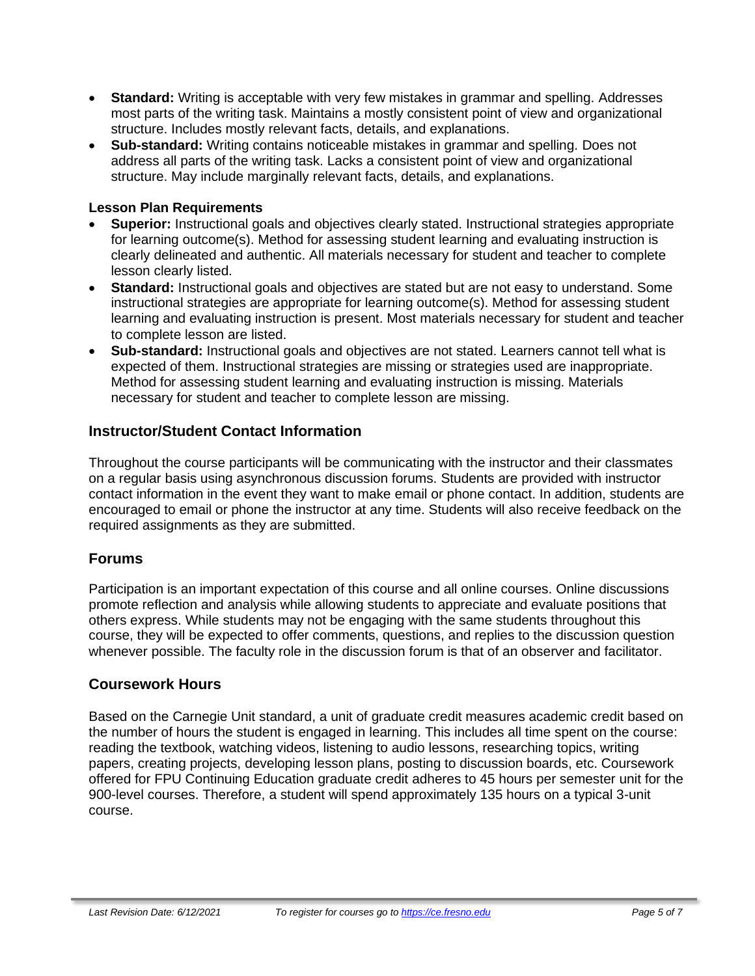- **Standard:** Writing is acceptable with very few mistakes in grammar and spelling. Addresses most parts of the writing task. Maintains a mostly consistent point of view and organizational structure. Includes mostly relevant facts, details, and explanations.
- **Sub-standard:** Writing contains noticeable mistakes in grammar and spelling. Does not address all parts of the writing task. Lacks a consistent point of view and organizational structure. May include marginally relevant facts, details, and explanations.

#### **Lesson Plan Requirements**

- **Superior:** Instructional goals and objectives clearly stated. Instructional strategies appropriate for learning outcome(s). Method for assessing student learning and evaluating instruction is clearly delineated and authentic. All materials necessary for student and teacher to complete lesson clearly listed.
- **Standard:** Instructional goals and objectives are stated but are not easy to understand. Some instructional strategies are appropriate for learning outcome(s). Method for assessing student learning and evaluating instruction is present. Most materials necessary for student and teacher to complete lesson are listed.
- **Sub-standard:** Instructional goals and objectives are not stated. Learners cannot tell what is expected of them. Instructional strategies are missing or strategies used are inappropriate. Method for assessing student learning and evaluating instruction is missing. Materials necessary for student and teacher to complete lesson are missing.

### **Instructor/Student Contact Information**

Throughout the course participants will be communicating with the instructor and their classmates on a regular basis using asynchronous discussion forums. Students are provided with instructor contact information in the event they want to make email or phone contact. In addition, students are encouraged to email or phone the instructor at any time. Students will also receive feedback on the required assignments as they are submitted.

### **Forums**

Participation is an important expectation of this course and all online courses. Online discussions promote reflection and analysis while allowing students to appreciate and evaluate positions that others express. While students may not be engaging with the same students throughout this course, they will be expected to offer comments, questions, and replies to the discussion question whenever possible. The faculty role in the discussion forum is that of an observer and facilitator.

#### **Coursework Hours**

Based on the Carnegie Unit standard, a unit of graduate credit measures academic credit based on the number of hours the student is engaged in learning. This includes all time spent on the course: reading the textbook, watching videos, listening to audio lessons, researching topics, writing papers, creating projects, developing lesson plans, posting to discussion boards, etc. Coursework offered for FPU Continuing Education graduate credit adheres to 45 hours per semester unit for the 900-level courses. Therefore, a student will spend approximately 135 hours on a typical 3-unit course.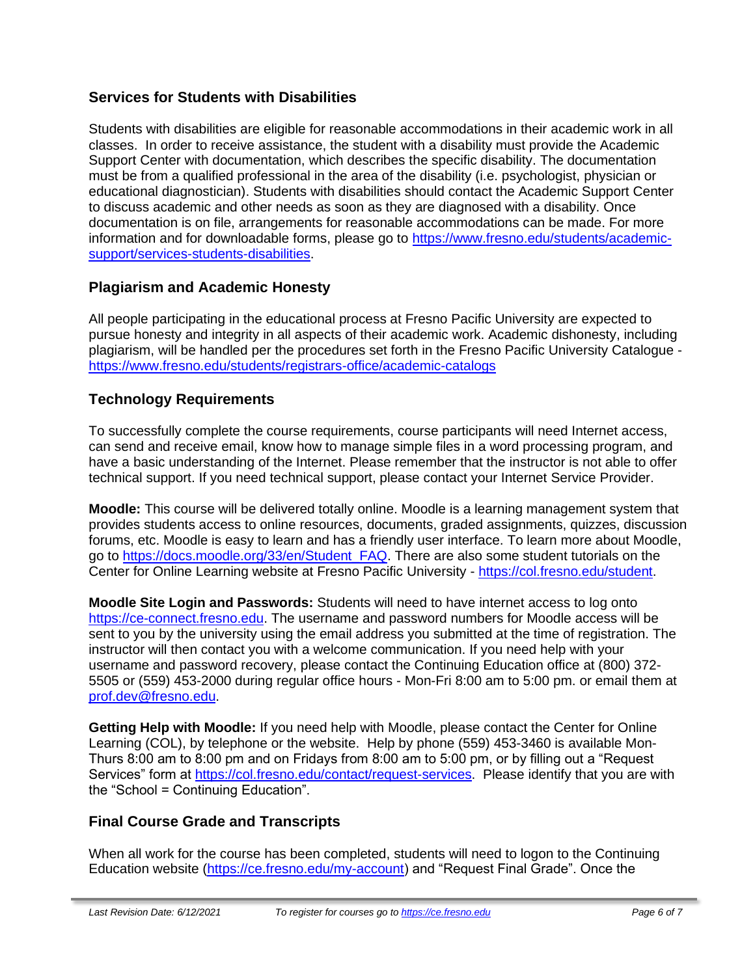# **Services for Students with Disabilities**

Students with disabilities are eligible for reasonable accommodations in their academic work in all classes. In order to receive assistance, the student with a disability must provide the Academic Support Center with documentation, which describes the specific disability. The documentation must be from a qualified professional in the area of the disability (i.e. psychologist, physician or educational diagnostician). Students with disabilities should contact the Academic Support Center to discuss academic and other needs as soon as they are diagnosed with a disability. Once documentation is on file, arrangements for reasonable accommodations can be made. For more information and for downloadable forms, please go to [https://www.fresno.edu/students/academic](https://www.fresno.edu/students/academic-support/services-students-disabilities)[support/services-students-disabilities.](https://www.fresno.edu/students/academic-support/services-students-disabilities)

# **Plagiarism and Academic Honesty**

All people participating in the educational process at Fresno Pacific University are expected to pursue honesty and integrity in all aspects of their academic work. Academic dishonesty, including plagiarism, will be handled per the procedures set forth in the Fresno Pacific University Catalogue <https://www.fresno.edu/students/registrars-office/academic-catalogs>

# **Technology Requirements**

To successfully complete the course requirements, course participants will need Internet access, can send and receive email, know how to manage simple files in a word processing program, and have a basic understanding of the Internet. Please remember that the instructor is not able to offer technical support. If you need technical support, please contact your Internet Service Provider.

**Moodle:** This course will be delivered totally online. Moodle is a learning management system that provides students access to online resources, documents, graded assignments, quizzes, discussion forums, etc. Moodle is easy to learn and has a friendly user interface. To learn more about Moodle, go to [https://docs.moodle.org/33/en/Student\\_FAQ.](https://docs.moodle.org/33/en/Student_FAQ) There are also some student tutorials on the Center for Online Learning website at Fresno Pacific University - [https://col.fresno.edu/student.](https://col.fresno.edu/student)

**Moodle Site Login and Passwords:** Students will need to have internet access to log onto [https://ce-connect.fresno.edu.](https://ce-connect.fresno.edu/) The username and password numbers for Moodle access will be sent to you by the university using the email address you submitted at the time of registration. The instructor will then contact you with a welcome communication. If you need help with your username and password recovery, please contact the Continuing Education office at (800) 372- 5505 or (559) 453-2000 during regular office hours - Mon-Fri 8:00 am to 5:00 pm. or email them at [prof.dev@fresno.edu.](mailto:prof.dev@fresno.edu)

**Getting Help with Moodle:** If you need help with Moodle, please contact the Center for Online Learning (COL), by telephone or the website. Help by phone (559) 453-3460 is available Mon-Thurs 8:00 am to 8:00 pm and on Fridays from 8:00 am to 5:00 pm, or by filling out a "Request Services" form at [https://col.fresno.edu/contact/request-services.](https://col.fresno.edu/contact/request-services) Please identify that you are with the "School = Continuing Education".

### **Final Course Grade and Transcripts**

When all work for the course has been completed, students will need to logon to the Continuing Education website [\(https://ce.fresno.edu/my-account\)](https://ce.fresno.edu/my-account) and "Request Final Grade". Once the